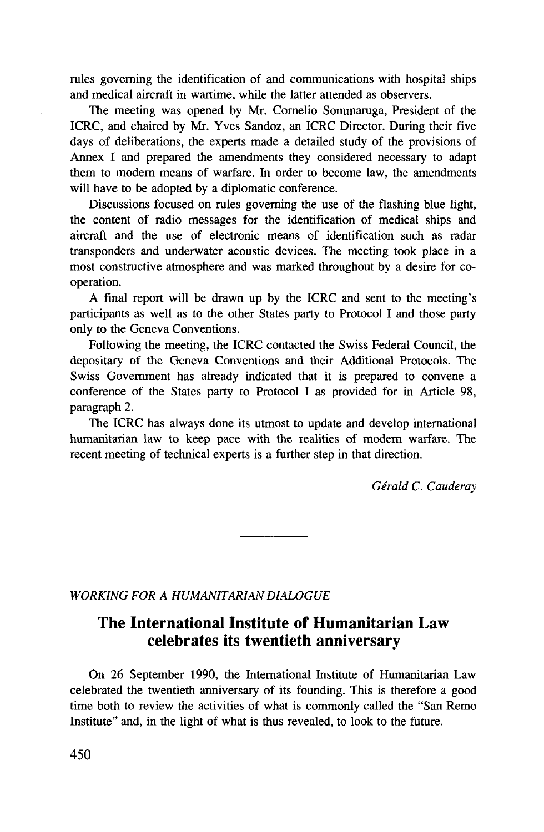rules governing the identification of and communications with hospital ships and medical aircraft in wartime, while the latter attended as observers.

The meeting was opened by Mr. Cornelio Sommaruga, President of the ICRC, and chaired by Mr. Yves Sandoz, an ICRC Director. During their five days of deliberations, the experts made a detailed study of the provisions of Annex I and prepared the amendments they considered necessary to adapt them to modern means of warfare. In order to become law, the amendments will have to be adopted by a diplomatic conference.

Discussions focused on rules governing the use of the flashing blue light, the content of radio messages for the identification of medical ships and aircraft and the use of electronic means of identification such as radar transponders and underwater acoustic devices. The meeting took place in a most constructive atmosphere and was marked throughout by a desire for cooperation.

A final report will be drawn up by the ICRC and sent to the meeting's participants as well as to the other States party to Protocol I and those party only to the Geneva Conventions.

Following the meeting, the ICRC contacted the Swiss Federal Council, the depositary of the Geneva Conventions and their Additional Protocols. The Swiss Government has already indicated that it is prepared to convene a conference of the States party to Protocol I as provided for in Article 98, paragraph 2.

The ICRC has always done its utmost to update and develop international humanitarian law to keep pace with the realities of modern warfare. The recent meeting of technical experts is a further step in that direction.

*Gerald C. Cauderay*

*WORKING FOR A HUMANITARIAN DIALOGUE*

## The International Institute of Humanitarian Law celebrates its twentieth anniversary

On 26 September 1990, the International Institute of Humanitarian Law celebrated the twentieth anniversary of its founding. This is therefore a good time both to review the activities of what is commonly called the "San Remo Institute" and, in the light of what is thus revealed, to look to the future.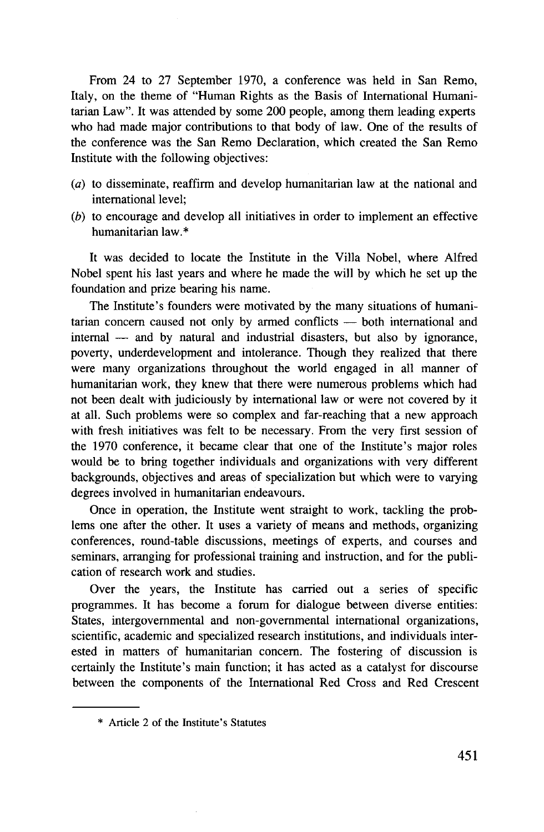From 24 to 27 September 1970, a conference was held in San Remo, Italy, on the theme of "Human Rights as the Basis of International Humanitarian Law". It was attended by some 200 people, among them leading experts who had made major contributions to that body of law. One of the results of the conference was the San Remo Declaration, which created the San Remo Institute with the following objectives:

- *(a)* to disseminate, reaffirm and develop humanitarian law at the national and international level;
- *(b)* to encourage and develop all initiatives in order to implement an effective humanitarian law.\*

It was decided to locate the Institute in the Villa Nobel, where Alfred Nobel spent his last years and where he made the will by which he set up the foundation and prize bearing his name.

The Institute's founders were motivated by the many situations of humanitarian concern caused not only by armed conflicts — both international and internal — and by natural and industrial disasters, but also by ignorance, poverty, underdevelopment and intolerance. Though they realized that there were many organizations throughout the world engaged in all manner of humanitarian work, they knew that there were numerous problems which had not been dealt with judiciously by international law or were not covered by it at all. Such problems were so complex and far-reaching that a new approach with fresh initiatives was felt to be necessary. From the very first session of the 1970 conference, it became clear that one of the Institute's major roles would be to bring together individuals and organizations with very different backgrounds, objectives and areas of specialization but which were to varying degrees involved in humanitarian endeavours.

Once in operation, the Institute went straight to work, tackling the problems one after the other. It uses a variety of means and methods, organizing conferences, round-table discussions, meetings of experts, and courses and seminars, arranging for professional training and instruction, and for the publication of research work and studies.

Over the years, the Institute has carried out a series of specific programmes. It has become a forum for dialogue between diverse entities: States, intergovernmental and non-governmental international organizations, scientific, academic and specialized research institutions, and individuals interested in matters of humanitarian concern. The fostering of discussion is certainly the Institute's main function; it has acted as a catalyst for discourse between the components of the International Red Cross and Red Crescent

<sup>\*</sup> Article 2 of the Institute's Statutes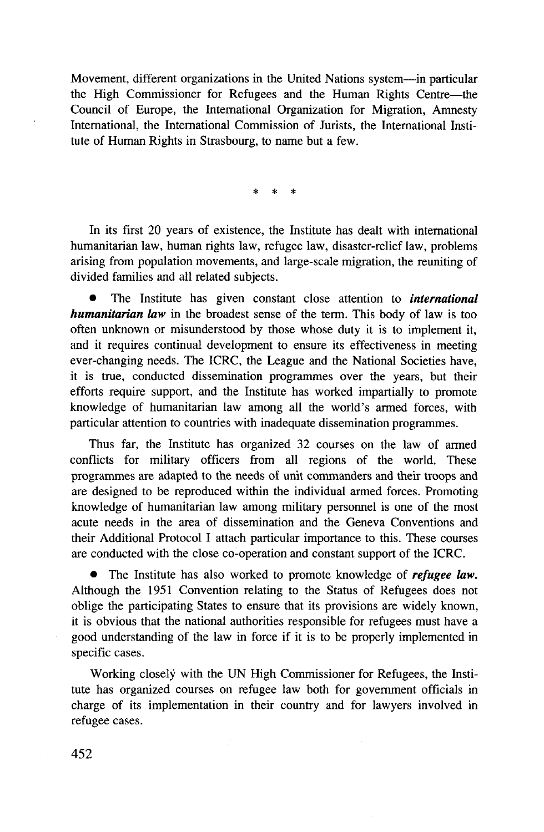Movement, different organizations in the United Nations system—in particular the High Commissioner for Refugees and the Human Rights Centre—the Council of Europe, the International Organization for Migration, Amnesty International, the International Commission of Jurists, the International Institute of Human Rights in Strasbourg, to name but a few.

> $\Delta \omega$  $\mathbf{d}$

In its first 20 years of existence, the Institute has dealt with international humanitarian law, human rights law, refugee law, disaster-relief law, problems arising from population movements, and large-scale migration, the reuniting of divided families and all related subjects.

• The Institute has given constant close attention to *international humanitarian law* in the broadest sense of the term. This body of law is too often unknown or misunderstood by those whose duty it is to implement it, and it requires continual development to ensure its effectiveness in meeting ever-changing needs. The ICRC, the League and the National Societies have, it is true, conducted dissemination programmes over the years, but their efforts require support, and the Institute has worked impartially to promote knowledge of humanitarian law among all the world's armed forces, with particular attention to countries with inadequate dissemination programmes.

Thus far, the Institute has organized 32 courses on the law of armed conflicts for military officers from all regions of the world. These programmes are adapted to the needs of unit commanders and their troops and are designed to be reproduced within the individual armed forces. Promoting knowledge of humanitarian law among military personnel is one of the most acute needs in the area of dissemination and the Geneva Conventions and their Additional Protocol I attach particular importance to this. These courses are conducted with the close co-operation and constant support of the ICRC.

• The Institute has also worked to promote knowledge of *refugee law.* Although the 1951 Convention relating to the Status of Refugees does not oblige the participating States to ensure that its provisions are widely known, it is obvious that the national authorities responsible for refugees must have a good understanding of the law in force if it is to be properly implemented in specific cases.

Working closely with the UN High Commissioner for Refugees, the Institute has organized courses on refugee law both for government officials in charge of its implementation in their country and for lawyers involved in refugee cases.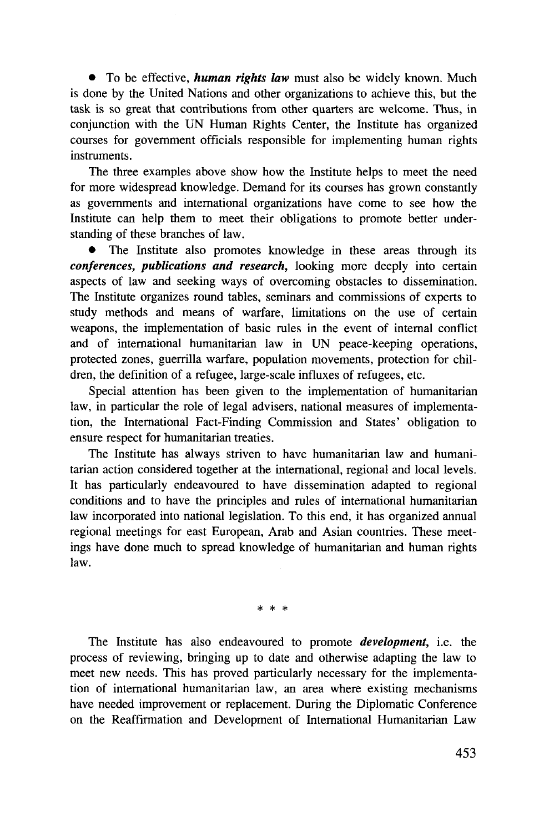• To be effective, *human rights law* must also be widely known. Much is done by the United Nations and other organizations to achieve this, but the task is so great that contributions from other quarters are welcome. Thus, in conjunction with the UN Human Rights Center, the Institute has organized courses for government officials responsible for implementing human rights instruments.

The three examples above show how the Institute helps to meet the need for more widespread knowledge. Demand for its courses has grown constantly as governments and international organizations have come to see how the Institute can help them to meet their obligations to promote better understanding of these branches of law.

The Institute also promotes knowledge in these areas through its *conferences, publications and research,* looking more deeply into certain aspects of law and seeking ways of overcoming obstacles to dissemination. The Institute organizes round tables, seminars and commissions of experts to study methods and means of warfare, limitations on the use of certain weapons, the implementation of basic rules in the event of internal conflict and of international humanitarian law in UN peace-keeping operations, protected zones, guerrilla warfare, population movements, protection for children, the definition of a refugee, large-scale influxes of refugees, etc.

Special attention has been given to the implementation of humanitarian law, in particular the role of legal advisers, national measures of implementation, the International Fact-Finding Commission and States' obligation to ensure respect for humanitarian treaties.

The Institute has always striven to have humanitarian law and humanitarian action considered together at the international, regional and local levels. It has particularly endeavoured to have dissemination adapted to regional conditions and to have the principles and rules of international humanitarian law incorporated into national legislation. To this end, it has organized annual regional meetings for east European, Arab and Asian countries. These meetings have done much to spread knowledge of humanitarian and human rights law.

 $* * *$ 

The Institute has also endeavoured to promote *development,* i.e. the process of reviewing, bringing up to date and otherwise adapting the law to meet new needs. This has proved particularly necessary for the implementation of international humanitarian law, an area where existing mechanisms have needed improvement or replacement. During the Diplomatic Conference on the Reaffirmation and Development of International Humanitarian Law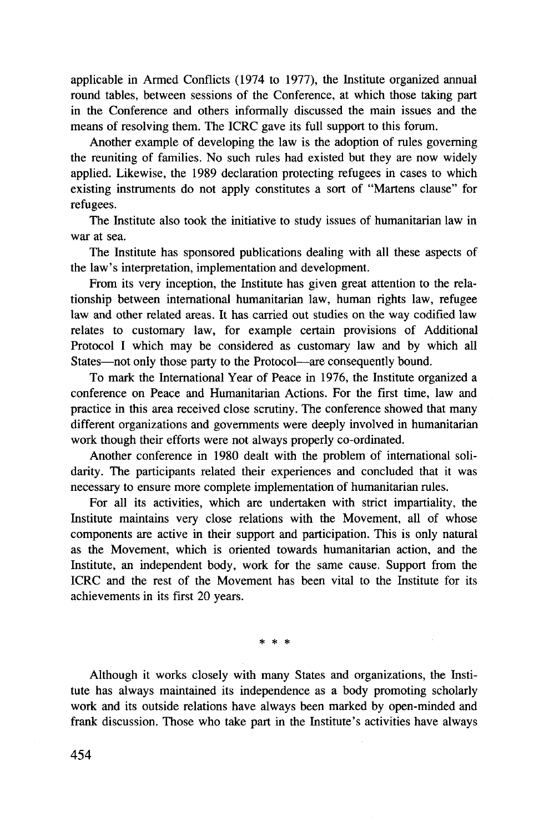applicable in Armed Conflicts (1974 to 1977), the Institute organized annual round tables, between sessions of the Conference, at which those taking part in the Conference and others informally discussed the main issues and the means of resolving them. The ICRC gave its full support to this forum.

Another example of developing the law is the adoption of rules governing the reuniting of families. No such rules had existed but they are now widely applied. Likewise, the 1989 declaration protecting refugees in cases to which existing instruments do not apply constitutes a sort of "Martens clause" for refugees.

The Institute also took the initiative to study issues of humanitarian law in war at sea.

The Institute has sponsored publications dealing with all these aspects of the law's interpretation, implementation and development.

From its very inception, the Institute has given great attention to the relationship between international humanitarian law, human rights law, refugee law and other related areas. It has carried out studies on the way codified law relates to customary law, for example certain provisions of Additional Protocol I which may be considered as customary law and by which all States—not only those party to the Protocol—are consequently bound.

To mark the International Year of Peace in 1976, the Institute organized a conference on Peace and Humanitarian Actions. For the first time, law and practice in this area received close scrutiny. The conference showed that many different organizations and governments were deeply involved in humanitarian work though their efforts were not always properly co-ordinated.

Another conference in 1980 dealt with the problem of international solidarity. The participants related their experiences and concluded that it was necessary to ensure more complete implementation of humanitarian rules.

For all its activities, which are undertaken with strict impartiality, the Institute maintains very close relations with the Movement, all of whose components are active in their support and participation. This is only natural as the Movement, which is oriented towards humanitarian action, and the Institute, an independent body, work for the same cause. Support from the ICRC and the rest of the Movement has been vital to the Institute for its achievements in its first 20 years.

 $* * *$ 

Although it works closely with many States and organizations, the Institute has always maintained its independence as a body promoting scholarly work and its outside relations have always been marked by open-minded and frank discussion. Those who take part in the Institute's activities have always